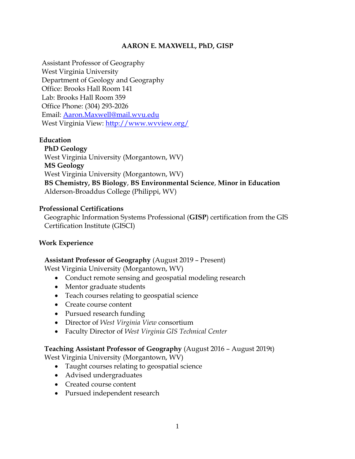## **AARON E. MAXWELL, PhD, GISP**

Assistant Professor of Geography West Virginia University Department of Geology and Geography Office: Brooks Hall Room 141 Lab: Brooks Hall Room 359 Office Phone: (304) 293-2026 Email: [Aaron.Maxwell@mail.wvu.edu](mailto:Aaron.Maxwell@mail.wvu.edu) West Virginia View:<http://www.wvview.org/>

## **Education**

**PhD Geology** West Virginia University (Morgantown, WV) **MS Geology** West Virginia University (Morgantown, WV) **BS Chemistry, BS Biology**, **BS Environmental Science**, **Minor in Education** Alderson-Broaddus College (Philippi, WV)

## **Professional Certifications**

Geographic Information Systems Professional (**GISP**) certification from the GIS Certification Institute (GISCI)

## **Work Experience**

## **Assistant Professor of Geography** (August 2019 – Present)

West Virginia University (Morgantown, WV)

- Conduct remote sensing and geospatial modeling research
- Mentor graduate students
- Teach courses relating to geospatial science
- Create course content
- Pursued research funding
- Director of *West Virginia View* consortium
- Faculty Director of *West Virginia GIS Technical Center*

## **Teaching Assistant Professor of Geography** (August 2016 – August 2019t)

West Virginia University (Morgantown, WV)

- Taught courses relating to geospatial science
- Advised undergraduates
- Created course content
- Pursued independent research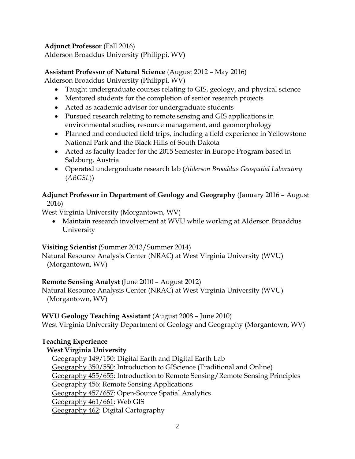# **Adjunct Professor** (Fall 2016)

Alderson Broaddus University (Philippi, WV)

# **Assistant Professor of Natural Science** (August 2012 – May 2016)

Alderson Broaddus University (Philippi, WV)

- Taught undergraduate courses relating to GIS, geology, and physical science
- Mentored students for the completion of senior research projects
- Acted as academic advisor for undergraduate students
- Pursued research relating to remote sensing and GIS applications in environmental studies, resource management, and geomorphology
- Planned and conducted field trips, including a field experience in Yellowstone National Park and the Black Hills of South Dakota
- Acted as faculty leader for the 2015 Semester in Europe Program based in Salzburg, Austria
- Operated undergraduate research lab (*Alderson Broaddus Geospatial Laboratory* (*ABGSL*))

#### **Adjunct Professor in Department of Geology and Geography** (January 2016 – August 2016)

West Virginia University (Morgantown, WV)

• Maintain research involvement at WVU while working at Alderson Broaddus University

# **Visiting Scientist** (Summer 2013/Summer 2014)

Natural Resource Analysis Center (NRAC) at West Virginia University (WVU) (Morgantown, WV)

# **Remote Sensing Analyst** (June 2010 – August 2012)

Natural Resource Analysis Center (NRAC) at West Virginia University (WVU) (Morgantown, WV)

# **WVU Geology Teaching Assistant** (August 2008 – June 2010)

West Virginia University Department of Geology and Geography (Morgantown, WV)

# **Teaching Experience**

# **West Virginia University**

Geography 149/150: Digital Earth and Digital Earth Lab Geography 350/550: Introduction to GIScience (Traditional and Online) Geography 455/655: Introduction to Remote Sensing/Remote Sensing Principles Geography 456: Remote Sensing Applications Geography 457/657: Open-Source Spatial Analytics Geography 461/661: Web GIS Geography 462: Digital Cartography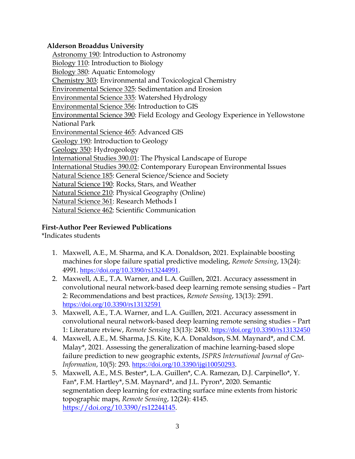## **Alderson Broaddus University**

Astronomy 190: Introduction to Astronomy Biology 110: Introduction to Biology Biology 380: Aquatic Entomology Chemistry 303: Environmental and Toxicological Chemistry Environmental Science 325: Sedimentation and Erosion Environmental Science 335: Watershed Hydrology Environmental Science 356: Introduction to GIS Environmental Science 390: Field Ecology and Geology Experience in Yellowstone National Park Environmental Science 465: Advanced GIS Geology 190: Introduction to Geology Geology 350: Hydrogeology International Studies 390.01: The Physical Landscape of Europe International Studies 390.02: Contemporary European Environmental Issues Natural Science 185: General Science/Science and Society Natural Science 190: Rocks, Stars, and Weather Natural Science 210: Physical Geography (Online) Natural Science 361: Research Methods I Natural Science 462: Scientific Communication

# **First-Author Peer Reviewed Publications**

\*Indicates students

- 1. Maxwell, A.E., M. Sharma, and K.A. Donaldson, 2021. Explainable boosting machines for slope failure spatial predictive modeling, *Remote Sensing*, 13(24): 4991. <https://doi.org/10.3390/rs13244991>.
- 2. Maxwell, A.E., T.A. Warner, and L.A. Guillen, 2021. Accuracy assessment in convolutional neural network-based deep learning remote sensing studies – Part 2: Recommendations and best practices, *Remote Sensing*, 13(13): 2591. <https://doi.org/10.3390/rs13132591>
- 3. Maxwell, A.E., T.A. Warner, and L.A. Guillen, 2021. Accuracy assessment in convolutional neural network-based deep learning remote sensing studies – Part 1: Literature rtview, *Remote Sensing* 13(13): 2450. <https://doi.org/10.3390/rs13132450>
- 4. Maxwell, A.E., M. Sharma, J.S. Kite, K.A. Donaldson, S.M. Maynard\*, and C.M. Malay\*, 2021. Assessing the generalization of machine learning-based slope failure prediction to new geographic extents, *ISPRS International Journal of Geo-Information*, 10(5): 293. [https://doi.org/10.3390/ijgi10050293.](https://doi.org/10.3390/ijgi10050293)
- 5. Maxwell, A.E., M.S. Bester\*, L.A. Guillen\*, C.A. Ramezan, D.J. Carpinello\*, Y. Fan\*, F.M. Hartley\*, S.M. Maynard\*, and J.L. Pyron\*, 2020. Semantic segmentation deep learning for extracting surface mine extents from historic topographic maps, *Remote Sensing*, 12(24): 4145. [https://doi.org/10.3390/rs12244145.](https://doi.org/10.3390/rs12244145)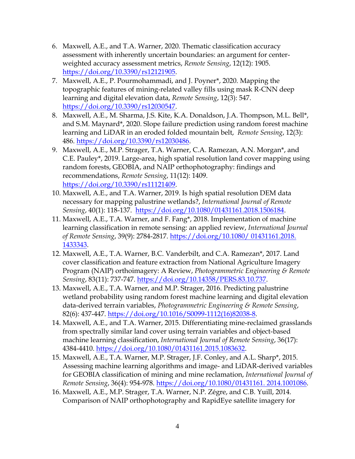- 6. Maxwell, A.E., and T.A. Warner, 2020. Thematic classification accuracy assessment with inherently uncertain boundaries: an argument for centerweighted accuracy assessment metrics, *Remote Sensing*, 12(12): 1905. [https://doi.org/10.3390/rs12121905.](https://doi.org/10.3390/rs12121905)
- 7. Maxwell, A.E., P. Pourmohammadi, and J. Poyner\*, 2020. Mapping the topographic features of mining-related valley fills using mask R-CNN deep learning and digital elevation data, *Remote Sensing*, 12(3): 547. [https://doi.org/10.3390/rs12030547.](https://doi.org/10.3390/rs12030547)
- 8. Maxwell, A.E., M. Sharma, J.S. Kite, K.A. Donaldson, J.A. Thompson, M.L. Bell\*, and S.M. Maynard\*, 2020. Slope failure prediction using random forest machine learning and LiDAR in an eroded folded mountain belt, *Remote Sensing*, 12(3): 486. [https://doi.org/10.3390/rs12030486.](https://doi.org/10.3390/rs12030486)
- 9. Maxwell, A.E., M.P. Strager, T.A. Warner, C.A. Ramezan, A.N. Morgan\*, and C.E. Pauley\*, 2019. Large-area, high spatial resolution land cover mapping using random forests, GEOBIA, and NAIP orthophotography: findings and recommendations, *Remote Sensing*, 11(12): 1409. [https://doi.org/10.3390/rs11121409.](https://doi.org/10.3390/rs11121409)
- 10. Maxwell, A.E., and T.A. Warner, 2019. Is high spatial resolution DEM data necessary for mapping palustrine wetlands?, *International Journal of Remote Sensing*, 40(1): 118-137. [https://doi.org/10.1080/01431161.2018.1506184.](https://doi.org/10.1080/01431161.2018.1506184)
- 11. Maxwell, A.E., T.A. Warner, and F. Fang\*, 2018. Implementation of machine learning classification in remote sensing: an applied review, *International Journal of Remote Sensing*, 39(9): 2784-2817. [https://doi.org/10.1080/ 01431161.2018.](https://doi.org/10.1080/%2001431161.2018.%201433343)  [1433343.](https://doi.org/10.1080/%2001431161.2018.%201433343)
- 12. Maxwell, A.E., T.A. Warner, B.C. Vanderbilt, and C.A. Ramezan\*, 2017. Land cover classification and feature extraction from National Agriculture Imagery Program (NAIP) orthoimagery: A Review, *Photogrammetric Engineering & Remote Sensing*, 83(11): 737-747. [https://doi.org/10.14358/PERS.83.10.737.](https://doi.org/10.14358/PERS.83.10.737)
- 13. Maxwell, A.E., T.A. Warner, and M.P. Strager, 2016. Predicting palustrine wetland probability using random forest machine learning and digital elevation data-derived terrain variables, *Photogrammetric Engineering & Remote Sensing*, 82(6): 437-447. [https://doi.org/10.1016/S0099-1112\(16\)82038-8.](https://doi.org/10.1016/S0099-1112(16)82038-8)
- 14. Maxwell, A.E., and T.A. Warner, 2015. Differentiating mine-reclaimed grasslands from spectrally similar land cover using terrain variables and object-based machine learning classification, *International Journal of Remote Sensing*, 36(17): 4384-4410. [https://doi.org/10.1080/01431161.2015.1083632.](https://doi.org/10.1080/01431161.2015.1083632)
- 15. Maxwell, A.E., T.A. Warner, M.P. Strager, J.F. Conley, and A.L. Sharp\*, 2015. Assessing machine learning algorithms and image- and LiDAR-derived variables for GEOBIA classification of mining and mine reclamation, *International Journal of Remote Sensing*, 36(4): 954-978. [https://doi.org/10.1080/01431161. 2014.1001086.](https://doi.org/10.1080/01431161.%202014.1001086)
- 16. Maxwell, A.E., M.P. Strager, T.A. Warner, N.P. Zégre, and C.B. Yuill, 2014. Comparison of NAIP orthophotography and RapidEye satellite imagery for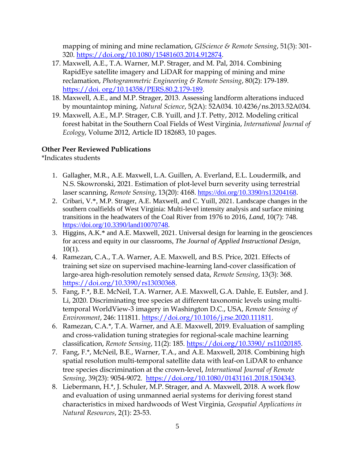mapping of mining and mine reclamation, *GIScience & Remote Sensing*, 51(3): 301- 320. [https://doi.org/10.1080/15481603.2014.912874.](https://doi.org/10.1080/15481603.2014.912874)

- 17. Maxwell, A.E., T.A. Warner, M.P. Strager, and M. Pal, 2014. Combining RapidEye satellite imagery and LiDAR for mapping of mining and mine reclamation, *Photogrammetric Engineering & Remote Sensing*, 80(2): 179-189. https://doi. org/10.14358/PERS.80.2.179-189.
- 18. Maxwell, A.E., and M.P. Strager, 2013. Assessing landform alterations induced by mountaintop mining, *Natural Science*, 5(2A): 52A034. 10.4236/ns.2013.52A034.
- 19. Maxwell, A.E., M.P. Strager, C.B. Yuill, and J.T. Petty, 2012. Modeling critical forest habitat in the Southern Coal Fields of West Virginia, *International Journal of Ecology*, Volume 2012, Article ID 182683, 10 pages.

# **Other Peer Reviewed Publications**

\*Indicates students

- 1. Gallagher, M.R., A.E. Maxwell, L.A. Guillen, A. Everland, E.L. Loudermilk, and N.S. Skowronski, 2021. Estimation of plot-level burn severity using terrestrial laser scanning, *Remote Sensing*, 13(20): 4168. [https://doi.org/10.3390/rs13204168.](https://doi.org/10.3390/rs13204168)
- 2. Cribari, V.\*, M.P. Strager, A.E. Maxwell, and C. Yuill, 2021. Landscape changes in the southern coalfields of West Virginia: Multi-level intensity analysis and surface mining transitions in the headwaters of the Coal River from 1976 to 2016, *Land*, 10(7): 748. [https://doi.org/10.3390/land10070748.](https://doi.org/10.3390/land10070748)
- 3. Higgins, A.K.\* and A.E. Maxwell, 2021. Universal design for learning in the geosciences for access and equity in our classrooms, *The Journal of Applied Instructional Design*, 10(1).
- 4. Ramezan, C.A., T.A. Warner, A.E. Maxwell, and B.S. Price, 2021. Effects of training set size on supervised machine-learning land-cover classification of large-area high-resolution remotely sensed data, *Remote Sensing*, 13(3): 368. [https://doi.org/10.3390/rs13030368.](https://doi.org/10.3390/rs13030368)
- 5. Fang, F.\*, B.E. McNeil, T.A. Warner, A.E. Maxwell, G.A. Dahle, E. Eutsler, and J. Li, 2020. Discriminating tree species at different taxonomic levels using multitemporal WorldView-3 imagery in Washington D.C., USA, *Remote Sensing of Environment*, 246: 111811. [https://doi.org/10.1016/j.rse.2020.111811.](https://doi.org/10.1016/j.rse.2020.111811)
- 6. Ramezan, C.A.\*, T.A. Warner, and A.E. Maxwell, 2019. Evaluation of sampling and cross-validation tuning strategies for regional-scale machine learning classification, *Remote Sensing*, 11(2): 185. [https://doi.org/10.3390/ rs11020185.](https://doi.org/10.3390/%20rs11020185)
- 7. Fang, F.\*, McNeil, B.E., Warner, T.A., and A.E. Maxwell, 2018. Combining high spatial resolution multi-temporal satellite data with leaf-on LiDAR to enhance tree species discrimination at the crown-level, *International Journal of Remote Sensing*, 39(23): 9054-9072. [https://doi.org/10.1080/01431161.2018.1504343.](https://doi.org/10.1080/01431161.2018.1504343)
- 8. Liebermann, H.\*, J. Schuler, M.P. Strager, and A. Maxwell, 2018. A work flow and evaluation of using unmanned aerial systems for deriving forest stand characteristics in mixed hardwoods of West Virginia, *Geospatial Applications in Natural Resources*, 2(1): 23-53.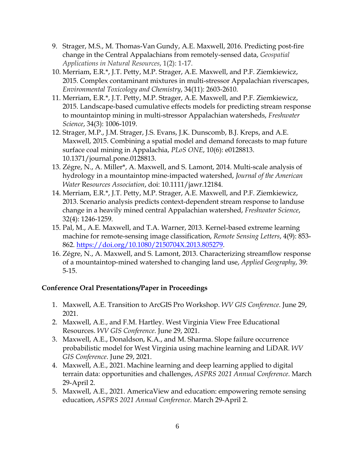- 9. Strager, M.S., M. Thomas-Van Gundy, A.E. Maxwell, 2016. Predicting post-fire change in the Central Appalachians from remotely-sensed data, *Geospatial Applications in Natural Resources*, 1(2): 1-17.
- 10. Merriam, E.R.\*, J.T. Petty, M.P. Strager, A.E. Maxwell, and P.F. Ziemkiewicz, 2015. Complex contaminant mixtures in multi-stressor Appalachian riverscapes, *Environmental Toxicology and Chemistry*, 34(11): 2603-2610.
- 11. Merriam, E.R.\*, J.T. Petty, M.P. Strager, A.E. Maxwell, and P.F. Ziemkiewicz, 2015. Landscape-based cumulative effects models for predicting stream response to mountaintop mining in multi-stressor Appalachian watersheds, *Freshwater Science*, 34(3): 1006-1019.
- 12. Strager, M.P., J.M. Strager, J.S. Evans, J.K. Dunscomb, B.J. Kreps, and A.E. Maxwell, 2015. Combining a spatial model and demand forecasts to map future surface coal mining in Appalachia, *PLoS ONE*, 10(6): e0128813. 10.1371/journal.pone.0128813.
- 13. Zégre, N., A. Miller\*, A. Maxwell, and S. Lamont, 2014. Multi-scale analysis of hydrology in a mountaintop mine-impacted watershed, *Journal of the American Water* Re*sources Association*, doi: 10.1111/jawr.12184.
- 14. Merriam, E.R.\*, J.T. Petty, M.P. Strager, A.E. Maxwell, and P.F. Ziemkiewicz, 2013. Scenario analysis predicts context-dependent stream response to landuse change in a heavily mined central Appalachian watershed, *Freshwater Science*, 32(4): 1246-1259.
- 15. Pal, M., A.E. Maxwell, and T.A. Warner, 2013. Kernel-based extreme learning machine for remote-sensing image classification, *Remote Sensing Letters*, 4(9): 853- 862. [https://doi.org/10.1080/2150704X.2013.805279.](https://doi.org/10.1080/2150704X.2013.805279)
- 16. Zégre, N., A. Maxwell, and S. Lamont, 2013. Characterizing streamflow response of a mountaintop-mined watershed to changing land use, *Applied Geography*, 39: 5-15.

# **Conference Oral Presentations/Paper in Proceedings**

- 1. Maxwell, A.E. Transition to ArcGIS Pro Workshop. *WV GIS Conference*. June 29, 2021.
- 2. Maxwell, A.E., and F.M. Hartley. West Virginia View Free Educational Resources. *WV GIS Conference*. June 29, 2021.
- 3. Maxwell, A.E., Donaldson, K.A., and M. Sharma. Slope failure occurrence probabilistic model for West Virginia using machine learning and LiDAR. *WV GIS Conference*. June 29, 2021.
- 4. Maxwell, A.E., 2021. Machine learning and deep learning applied to digital terrain data: opportunities and challenges, *ASPRS 2021 Annual Conference*. March 29-April 2.
- 5. Maxwell, A.E., 2021. AmericaView and education: empowering remote sensing education, *ASPRS 2021 Annual Conference*. March 29-April 2.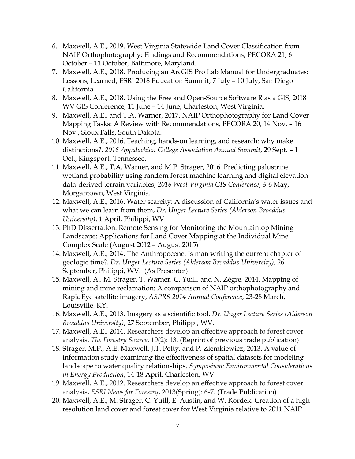- 6. Maxwell, A.E., 2019. West Virginia Statewide Land Cover Classification from NAIP Orthophotography: Findings and Recommendations, PECORA 21, 6 October – 11 October, Baltimore, Maryland.
- 7. Maxwell, A.E., 2018. Producing an ArcGIS Pro Lab Manual for Undergraduates: Lessons, Learned, ESRI 2018 Education Summit, 7 July – 10 July, San Diego California
- 8. Maxwell, A.E., 2018. Using the Free and Open-Source Software R as a GIS, 2018 WV GIS Conference, 11 June – 14 June, Charleston, West Virginia.
- 9. Maxwell, A.E., and T.A. Warner, 2017. NAIP Orthophotography for Land Cover Mapping Tasks: A Review with Recommendations, PECORA 20, 14 Nov. – 16 Nov., Sioux Falls, South Dakota.
- 10. Maxwell, A.E., 2016. Teaching, hands-on learning, and research: why make distinctions?, *2016 Appalachian College Association Annual Summit*, 29 Sept. – 1 Oct., Kingsport, Tennessee.
- 11. Maxwell, A.E., T.A. Warner, and M.P. Strager, 2016. Predicting palustrine wetland probability using random forest machine learning and digital elevation data-derived terrain variables, *2016 West Virginia GIS Conference*, 3-6 May, Morgantown, West Virginia.
- 12. Maxwell, A.E., 2016. Water scarcity: A discussion of California's water issues and what we can learn from them, *Dr. Unger Lecture Series (Alderson Broaddus University)*, 1 April, Philippi, WV.
- 13. PhD Dissertation: Remote Sensing for Monitoring the Mountaintop Mining Landscape: Applications for Land Cover Mapping at the Individual Mine Complex Scale (August 2012 – August 2015)
- 14. Maxwell, A.E., 2014. The Anthropocene: Is man writing the current chapter of geologic time?. *Dr. Unger Lecture Series (Alderson Broaddus University)*, 26 September, Philippi, WV.(As Presenter)
- 15. Maxwell, A., M. Strager, T. Warner, C. Yuill, and N. Zégre, 2014. Mapping of mining and mine reclamation: A comparison of NAIP orthophotography and RapidEye satellite imagery, *ASPRS 2014 Annual Conference*, 23-28 March, Louisville, KY.
- 16. Maxwell, A.E., 2013. Imagery as a scientific tool. *Dr. Unger Lecture Series (Alderson Broaddus University)*, 27 September, Philippi, WV.
- 17. Maxwell, A.E., 2014. Researchers develop an effective approach to forest cover analysis, *The Forestry Source*, 19(2): 13. (Reprint of previous trade publication)
- 18. Strager, M.P., A.E. Maxwell, J.T. Petty, and P. Ziemkiewicz, 2013. A value of information study examining the effectiveness of spatial datasets for modeling landscape to water quality relationships, *Symposium: Environmental Considerations in Energy Production*, 14-18 April, Charleston, WV.
- 19. Maxwell, A.E., 2012. Researchers develop an effective approach to forest cover analysis, *ESRI News for Forestry*, 2013(Spring): 6-7. (Trade Publication)
- 20. Maxwell, A.E., M. Strager, C. Yuill, E. Austin, and W. Kordek. Creation of a high resolution land cover and forest cover for West Virginia relative to 2011 NAIP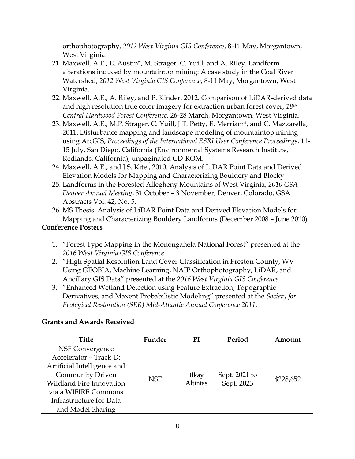orthophotography, *2012 West Virginia GIS Conference*, 8-11 May, Morgantown, West Virginia.

- 21. Maxwell, A.E., E. Austin\*, M. Strager, C. Yuill, and A. Riley. Landform alterations induced by mountaintop mining: A case study in the Coal River Watershed, *2012 West Virginia GIS Conference*, 8-11 May, Morgantown, West Virginia.
- 22. Maxwell, A.E., A. Riley, and P. Kinder, 2012. Comparison of LiDAR-derived data and high resolution true color imagery for extraction urban forest cover, *18th Central Hardwood Forest Conference*, 26-28 March, Morgantown, West Virginia.
- 23. Maxwell, A.E., M.P. Strager, C. Yuill, J.T. Petty, E. Merriam\*, and C. Mazzarella, 2011. Disturbance mapping and landscape modeling of mountaintop mining using ArcGIS, *Proceedings of the International ESRI User Conference Proceedings*, 11- 15 July, San Diego, California (Environmental Systems Research Institute, Redlands, California), unpaginated CD-ROM.
- 24. Maxwell, A.E., and J.S. Kite., 2010. Analysis of LiDAR Point Data and Derived Elevation Models for Mapping and Characterizing Bouldery and Blocky
- 25. Landforms in the Forested Allegheny Mountains of West Virginia, *2010 GSA Denver Annual Meeting*, 31 October – 3 November, Denver, Colorado, GSA Abstracts Vol. 42, No. 5.
- 26. MS Thesis: Analysis of LiDAR Point Data and Derived Elevation Models for Mapping and Characterizing Bouldery Landforms (December 2008 – June 2010)

# **Conference Posters**

- 1. "Forest Type Mapping in the Monongahela National Forest" presented at the *2016 West Virginia GIS Conference*.
- 2. "High Spatial Resolution Land Cover Classification in Preston County, WV Using GEOBIA, Machine Learning, NAIP Orthophotography, LiDAR, and Ancillary GIS Data" presented at the *2016 West Virginia GIS Conference*.
- 3. "Enhanced Wetland Detection using Feature Extraction, Topographic Derivatives, and Maxent Probabilistic Modeling" presented at the *Society for Ecological Restoration (SER) Mid-Atlantic Annual Conference 2011*.

# **Grants and Awards Received**

| Title                       | Funder     | РI                              | Period                      | Amount    |
|-----------------------------|------------|---------------------------------|-----------------------------|-----------|
| NSF Convergence             |            |                                 |                             |           |
| Accelerator - Track D:      |            |                                 |                             |           |
| Artificial Intelligence and |            |                                 |                             |           |
| <b>Community Driven</b>     | <b>NSF</b> | <b>Ilkay</b><br><b>Altintas</b> | Sept. 2021 to<br>Sept. 2023 | \$228,652 |
| Wildland Fire Innovation    |            |                                 |                             |           |
| via a WIFIRE Commons        |            |                                 |                             |           |
| Infrastructure for Data     |            |                                 |                             |           |
| and Model Sharing           |            |                                 |                             |           |